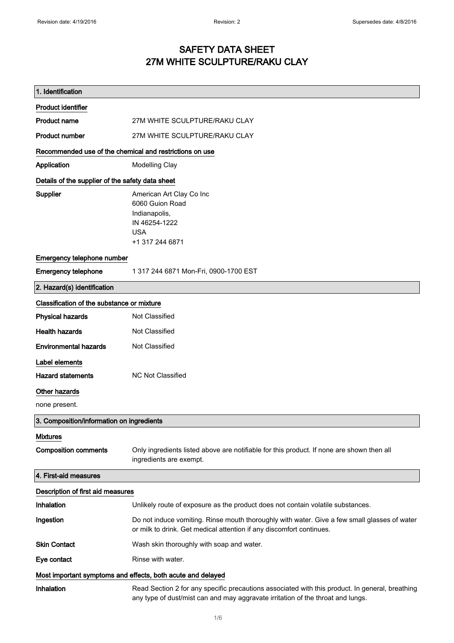### SAFETY DATA SHEET 27M WHITE SCULPTURE/RAKU CLAY

| 1. Identification                                           |                                                                                                                                                                                    |
|-------------------------------------------------------------|------------------------------------------------------------------------------------------------------------------------------------------------------------------------------------|
| <b>Product identifier</b>                                   |                                                                                                                                                                                    |
| <b>Product name</b>                                         | 27M WHITE SCULPTURE/RAKU CLAY                                                                                                                                                      |
| <b>Product number</b>                                       | 27M WHITE SCULPTURE/RAKU CLAY                                                                                                                                                      |
| Recommended use of the chemical and restrictions on use     |                                                                                                                                                                                    |
| Application                                                 | <b>Modelling Clay</b>                                                                                                                                                              |
| Details of the supplier of the safety data sheet            |                                                                                                                                                                                    |
| Supplier                                                    | American Art Clay Co Inc<br>6060 Guion Road<br>Indianapolis,<br>IN 46254-1222<br><b>USA</b><br>+1 317 244 6871                                                                     |
| Emergency telephone number                                  |                                                                                                                                                                                    |
| <b>Emergency telephone</b>                                  | 1 317 244 6871 Mon-Fri, 0900-1700 EST                                                                                                                                              |
| 2. Hazard(s) identification                                 |                                                                                                                                                                                    |
| Classification of the substance or mixture                  |                                                                                                                                                                                    |
| <b>Physical hazards</b>                                     | Not Classified                                                                                                                                                                     |
| <b>Health hazards</b>                                       | Not Classified                                                                                                                                                                     |
| <b>Environmental hazards</b>                                | Not Classified                                                                                                                                                                     |
| Label elements                                              |                                                                                                                                                                                    |
| <b>Hazard statements</b>                                    | <b>NC Not Classified</b>                                                                                                                                                           |
| <b>Other hazards</b>                                        |                                                                                                                                                                                    |
| none present.                                               |                                                                                                                                                                                    |
| 3. Composition/information on ingredients                   |                                                                                                                                                                                    |
| <b>Mixtures</b><br><b>Composition comments</b>              | Only ingredients listed above are notifiable for this product. If none are shown then all<br>ingredients are exempt.                                                               |
| 4. First-aid measures                                       |                                                                                                                                                                                    |
| Description of first aid measures                           |                                                                                                                                                                                    |
| Inhalation                                                  | Unlikely route of exposure as the product does not contain volatile substances.                                                                                                    |
| Ingestion                                                   | Do not induce vomiting. Rinse mouth thoroughly with water. Give a few small glasses of water<br>or milk to drink. Get medical attention if any discomfort continues.               |
| <b>Skin Contact</b>                                         | Wash skin thoroughly with soap and water.                                                                                                                                          |
| Eye contact                                                 | Rinse with water.                                                                                                                                                                  |
| Most important symptoms and effects, both acute and delayed |                                                                                                                                                                                    |
| Inhalation                                                  | Read Section 2 for any specific precautions associated with this product. In general, breathing<br>any type of dust/mist can and may aggravate irritation of the throat and lungs. |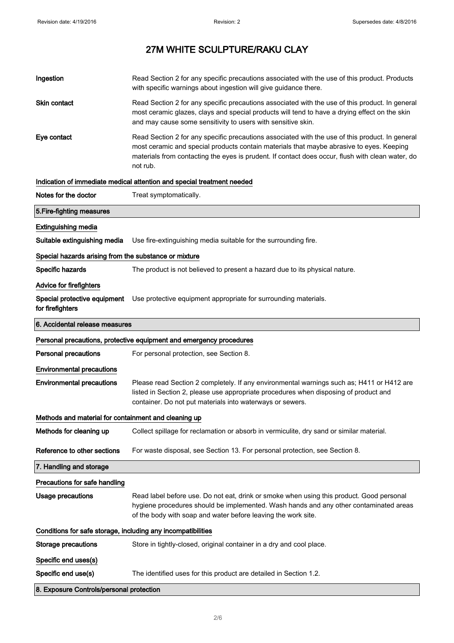| Ingestion                                                    | Read Section 2 for any specific precautions associated with the use of this product. Products<br>with specific warnings about ingestion will give guidance there.                                                                                                                                           |
|--------------------------------------------------------------|-------------------------------------------------------------------------------------------------------------------------------------------------------------------------------------------------------------------------------------------------------------------------------------------------------------|
| <b>Skin contact</b>                                          | Read Section 2 for any specific precautions associated with the use of this product. In general<br>most ceramic glazes, clays and special products will tend to have a drying effect on the skin<br>and may cause some sensitivity to users with sensitive skin.                                            |
| Eye contact                                                  | Read Section 2 for any specific precautions associated with the use of this product. In general<br>most ceramic and special products contain materials that maybe abrasive to eyes. Keeping<br>materials from contacting the eyes is prudent. If contact does occur, flush with clean water, do<br>not rub. |
|                                                              | Indication of immediate medical attention and special treatment needed                                                                                                                                                                                                                                      |
| Notes for the doctor                                         | Treat symptomatically.                                                                                                                                                                                                                                                                                      |
| 5. Fire-fighting measures                                    |                                                                                                                                                                                                                                                                                                             |
| <b>Extinguishing media</b>                                   |                                                                                                                                                                                                                                                                                                             |
| Suitable extinguishing media                                 | Use fire-extinguishing media suitable for the surrounding fire.                                                                                                                                                                                                                                             |
| Special hazards arising from the substance or mixture        |                                                                                                                                                                                                                                                                                                             |
| Specific hazards                                             | The product is not believed to present a hazard due to its physical nature.                                                                                                                                                                                                                                 |
| Advice for firefighters                                      |                                                                                                                                                                                                                                                                                                             |
| Special protective equipment<br>for firefighters             | Use protective equipment appropriate for surrounding materials.                                                                                                                                                                                                                                             |
| 6. Accidental release measures                               |                                                                                                                                                                                                                                                                                                             |
|                                                              | Personal precautions, protective equipment and emergency procedures                                                                                                                                                                                                                                         |
| <b>Personal precautions</b>                                  | For personal protection, see Section 8.                                                                                                                                                                                                                                                                     |
| <b>Environmental precautions</b>                             |                                                                                                                                                                                                                                                                                                             |
| <b>Environmental precautions</b>                             | Please read Section 2 completely. If any environmental warnings such as; H411 or H412 are<br>listed in Section 2, please use appropriate procedures when disposing of product and<br>container. Do not put materials into waterways or sewers.                                                              |
| Methods and material for containment and cleaning up         |                                                                                                                                                                                                                                                                                                             |
| Methods for cleaning up                                      | Collect spillage for reclamation or absorb in vermiculite, dry sand or similar material.                                                                                                                                                                                                                    |
| Reference to other sections                                  | For waste disposal, see Section 13. For personal protection, see Section 8.                                                                                                                                                                                                                                 |
| 7. Handling and storage                                      |                                                                                                                                                                                                                                                                                                             |
| Precautions for safe handling                                |                                                                                                                                                                                                                                                                                                             |
| Usage precautions                                            | Read label before use. Do not eat, drink or smoke when using this product. Good personal<br>hygiene procedures should be implemented. Wash hands and any other contaminated areas<br>of the body with soap and water before leaving the work site.                                                          |
| Conditions for safe storage, including any incompatibilities |                                                                                                                                                                                                                                                                                                             |
| <b>Storage precautions</b>                                   | Store in tightly-closed, original container in a dry and cool place.                                                                                                                                                                                                                                        |
| Specific end uses(s)                                         |                                                                                                                                                                                                                                                                                                             |
| Specific end use(s)                                          | The identified uses for this product are detailed in Section 1.2.                                                                                                                                                                                                                                           |
| 8. Exposure Controls/personal protection                     |                                                                                                                                                                                                                                                                                                             |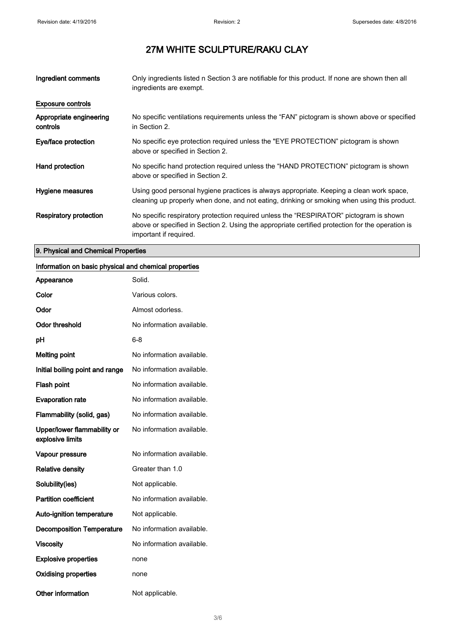| Ingredient comments                 | Only ingredients listed n Section 3 are notifiable for this product. If none are shown then all<br>ingredients are exempt.                                                                                           |
|-------------------------------------|----------------------------------------------------------------------------------------------------------------------------------------------------------------------------------------------------------------------|
| <b>Exposure controls</b>            |                                                                                                                                                                                                                      |
| Appropriate engineering<br>controls | No specific ventilations requirements unless the "FAN" pictogram is shown above or specified<br>in Section 2.                                                                                                        |
| Eye/face protection                 | No specific eve protection required unless the "EYE PROTECTION" pictogram is shown<br>above or specified in Section 2.                                                                                               |
| Hand protection                     | No specific hand protection required unless the "HAND PROTECTION" pictogram is shown<br>above or specified in Section 2.                                                                                             |
| Hygiene measures                    | Using good personal hygiene practices is always appropriate. Keeping a clean work space,<br>cleaning up properly when done, and not eating, drinking or smoking when using this product.                             |
| <b>Respiratory protection</b>       | No specific respiratory protection required unless the "RESPIRATOR" pictogram is shown<br>above or specified in Section 2. Using the appropriate certified protection for the operation is<br>important if required. |

### 9. Physical and Chemical Properties

#### Information on basic physical and chemical properties

| Appearance                                      | Solid.                    |
|-------------------------------------------------|---------------------------|
| Color                                           | Various colors.           |
| Odor                                            | Almost odorless.          |
| <b>Odor threshold</b>                           | No information available. |
| рH                                              | 6-8                       |
| <b>Melting point</b>                            | No information available. |
| Initial boiling point and range                 | No information available. |
| Flash point                                     | No information available. |
| <b>Evaporation rate</b>                         | No information available. |
| Flammability (solid, gas)                       | No information available. |
| Upper/lower flammability or<br>explosive limits | No information available. |
| Vapour pressure                                 | No information available. |
| <b>Relative density</b>                         | Greater than 1.0          |
| Solubility(ies)                                 | Not applicable.           |
| <b>Partition coefficient</b>                    | No information available. |
| <b>Auto-ignition temperature</b>                | Not applicable.           |
| <b>Decomposition Temperature</b>                | No information available. |
| <b>Viscosity</b>                                | No information available. |
| <b>Explosive properties</b>                     | none                      |
| <b>Oxidising properties</b>                     | none                      |
| Other information                               | Not applicable.           |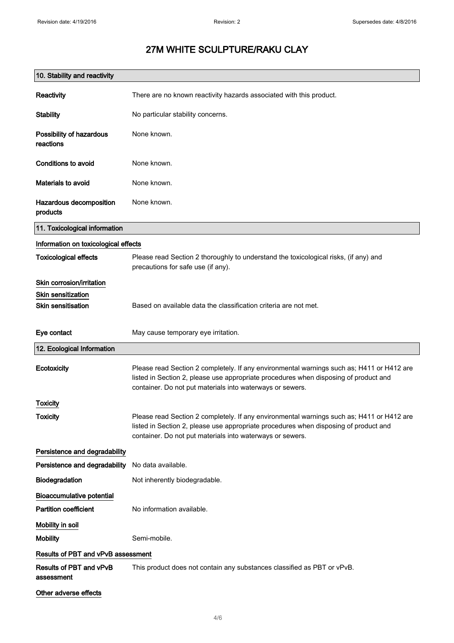| 10. Stability and reactivity          |                                                                                                                                                                                                                                                |
|---------------------------------------|------------------------------------------------------------------------------------------------------------------------------------------------------------------------------------------------------------------------------------------------|
| Reactivity                            | There are no known reactivity hazards associated with this product.                                                                                                                                                                            |
| <b>Stability</b>                      | No particular stability concerns.                                                                                                                                                                                                              |
| Possibility of hazardous<br>reactions | None known.                                                                                                                                                                                                                                    |
| Conditions to avoid                   | None known.                                                                                                                                                                                                                                    |
| Materials to avoid                    | None known.                                                                                                                                                                                                                                    |
| Hazardous decomposition<br>products   | None known.                                                                                                                                                                                                                                    |
| 11. Toxicological information         |                                                                                                                                                                                                                                                |
| Information on toxicological effects  |                                                                                                                                                                                                                                                |
| <b>Toxicological effects</b>          | Please read Section 2 thoroughly to understand the toxicological risks, (if any) and<br>precautions for safe use (if any).                                                                                                                     |
| Skin corrosion/irritation             |                                                                                                                                                                                                                                                |
| <b>Skin sensitization</b>             |                                                                                                                                                                                                                                                |
| <b>Skin sensitisation</b>             | Based on available data the classification criteria are not met.                                                                                                                                                                               |
| Eye contact                           | May cause temporary eye irritation.                                                                                                                                                                                                            |
| 12. Ecological Information            |                                                                                                                                                                                                                                                |
| Ecotoxicity                           | Please read Section 2 completely. If any environmental warnings such as; H411 or H412 are<br>listed in Section 2, please use appropriate procedures when disposing of product and<br>container. Do not put materials into waterways or sewers. |
| Toxicity                              |                                                                                                                                                                                                                                                |
| Toxicity                              | Please read Section 2 completely. If any environmental warnings such as; H411 or H412 are<br>listed in Section 2, please use appropriate procedures when disposing of product and<br>container. Do not put materials into waterways or sewers. |
| Persistence and degradability         |                                                                                                                                                                                                                                                |
| Persistence and degradability         | No data available.                                                                                                                                                                                                                             |
| Biodegradation                        | Not inherently biodegradable.                                                                                                                                                                                                                  |
| <b>Bioaccumulative potential</b>      |                                                                                                                                                                                                                                                |
| <b>Partition coefficient</b>          | No information available.                                                                                                                                                                                                                      |
| Mobility in soil                      |                                                                                                                                                                                                                                                |
| <b>Mobility</b>                       | Semi-mobile.                                                                                                                                                                                                                                   |
| Results of PBT and vPvB assessment    |                                                                                                                                                                                                                                                |
| Results of PBT and vPvB<br>assessment | This product does not contain any substances classified as PBT or vPvB.                                                                                                                                                                        |
| Other adverse effects                 |                                                                                                                                                                                                                                                |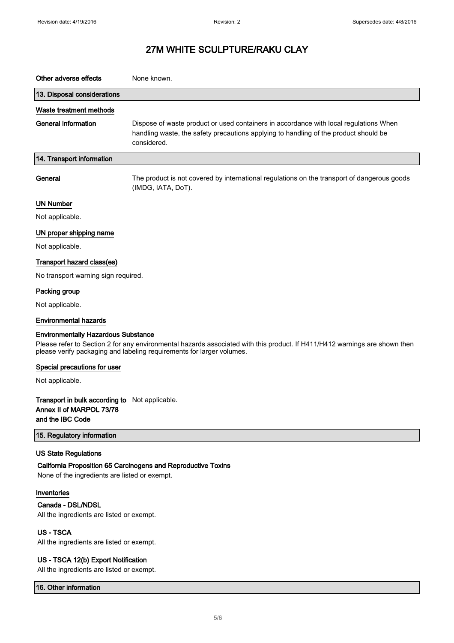| Other adverse effects                                                                                                                                                                               | None known.                                                                                                                                                                                  |
|-----------------------------------------------------------------------------------------------------------------------------------------------------------------------------------------------------|----------------------------------------------------------------------------------------------------------------------------------------------------------------------------------------------|
| 13. Disposal considerations                                                                                                                                                                         |                                                                                                                                                                                              |
| Waste treatment methods                                                                                                                                                                             |                                                                                                                                                                                              |
| <b>General information</b>                                                                                                                                                                          | Dispose of waste product or used containers in accordance with local regulations When<br>handling waste, the safety precautions applying to handling of the product should be<br>considered. |
| 14. Transport information                                                                                                                                                                           |                                                                                                                                                                                              |
| General                                                                                                                                                                                             | The product is not covered by international regulations on the transport of dangerous goods<br>(IMDG, IATA, DoT).                                                                            |
| <b>UN Number</b>                                                                                                                                                                                    |                                                                                                                                                                                              |
| Not applicable.                                                                                                                                                                                     |                                                                                                                                                                                              |
| UN proper shipping name                                                                                                                                                                             |                                                                                                                                                                                              |
| Not applicable.                                                                                                                                                                                     |                                                                                                                                                                                              |
| Transport hazard class(es)                                                                                                                                                                          |                                                                                                                                                                                              |
| No transport warning sign required.                                                                                                                                                                 |                                                                                                                                                                                              |
| Packing group                                                                                                                                                                                       |                                                                                                                                                                                              |
| Not applicable.                                                                                                                                                                                     |                                                                                                                                                                                              |
| <b>Environmental hazards</b>                                                                                                                                                                        |                                                                                                                                                                                              |
| <b>Environmentally Hazardous Substance</b>                                                                                                                                                          |                                                                                                                                                                                              |
| Please refer to Section 2 for any environmental hazards associated with this product. If H411/H412 warnings are shown then<br>please verify packaging and labeling requirements for larger volumes. |                                                                                                                                                                                              |
| Special precautions for user                                                                                                                                                                        |                                                                                                                                                                                              |
| Not applicable.                                                                                                                                                                                     |                                                                                                                                                                                              |
| Transport in bulk according to Not applicable.<br>Annex II of MARPOL 73/78<br>and the IBC Code                                                                                                      |                                                                                                                                                                                              |
| 15. Regulatory information                                                                                                                                                                          |                                                                                                                                                                                              |
| <b>US State Regulations</b><br>None of the ingredients are listed or exempt.                                                                                                                        | California Proposition 65 Carcinogens and Reproductive Toxins                                                                                                                                |
| Inventories                                                                                                                                                                                         |                                                                                                                                                                                              |
| Canada - DSL/NDSL<br>All the ingredients are listed or exempt.                                                                                                                                      |                                                                                                                                                                                              |
| <b>US-TSCA</b><br>All the ingredients are listed or exempt.                                                                                                                                         |                                                                                                                                                                                              |
| US - TSCA 12(b) Export Notification                                                                                                                                                                 |                                                                                                                                                                                              |

All the ingredients are listed or exempt.

16. Other information